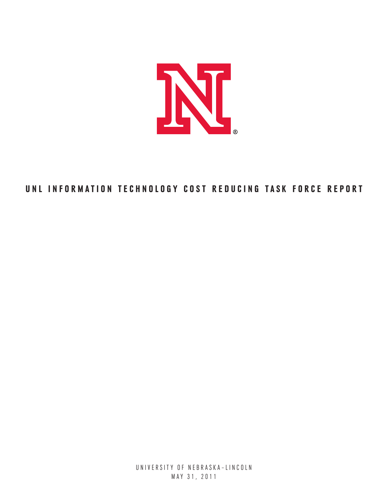

# UNL INFORMATION TECHNOLOGY COST REDUCING TASK FORCE REPORT

UNIVERSITY OF NEBRASKA-LINCOLN May 31, 2011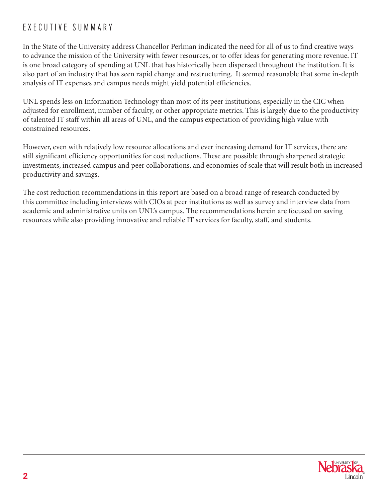# E xec u tive Summ ary

In the State of the University address Chancellor Perlman indicated the need for all of us to find creative ways to advance the mission of the University with fewer resources, or to offer ideas for generating more revenue. IT is one broad category of spending at UNL that has historically been dispersed throughout the institution. It is also part of an industry that has seen rapid change and restructuring. It seemed reasonable that some in-depth analysis of IT expenses and campus needs might yield potential efficiencies.

UNL spends less on Information Technology than most of its peer institutions, especially in the CIC when adjusted for enrollment, number of faculty, or other appropriate metrics. This is largely due to the productivity of talented IT staff within all areas of UNL, and the campus expectation of providing high value with constrained resources.

However, even with relatively low resource allocations and ever increasing demand for IT services, there are still significant efficiency opportunities for cost reductions. These are possible through sharpened strategic investments, increased campus and peer collaborations, and economies of scale that will result both in increased productivity and savings.

The cost reduction recommendations in this report are based on a broad range of research conducted by this committee including interviews with CIOs at peer institutions as well as survey and interview data from academic and administrative units on UNL's campus. The recommendations herein are focused on saving resources while also providing innovative and reliable IT services for faculty, staff, and students.

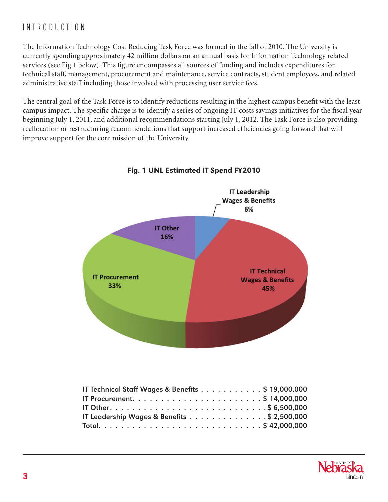# I ntrod u ction

The Information Technology Cost Reducing Task Force was formed in the fall of 2010. The University is currently spending approximately 42 million dollars on an annual basis for Information Technology related services (see Fig 1 below). This figure encompasses all sources of funding and includes expenditures for technical staff, management, procurement and maintenance, service contracts, student employees, and related administrative staff including those involved with processing user service fees.

The central goal of the Task Force is to identify reductions resulting in the highest campus benefit with the least campus impact. The specific charge is to identify a series of ongoing IT costs savings initiatives for the fiscal year beginning July 1, 2011, and additional recommendations starting July 1, 2012. The Task Force is also providing reallocation or restructuring recommendations that support increased efficiencies going forward that will improve support for the core mission of the University.



# Fig. 1 UNL Estimated IT Spend FY2010

| IT Technical Staff Wages & Benefits \$ 19,000,000 |  |  |  |  |  |  |
|---------------------------------------------------|--|--|--|--|--|--|
|                                                   |  |  |  |  |  |  |
|                                                   |  |  |  |  |  |  |
| IT Leadership Wages & Benefits \$ 2,500,000       |  |  |  |  |  |  |
|                                                   |  |  |  |  |  |  |

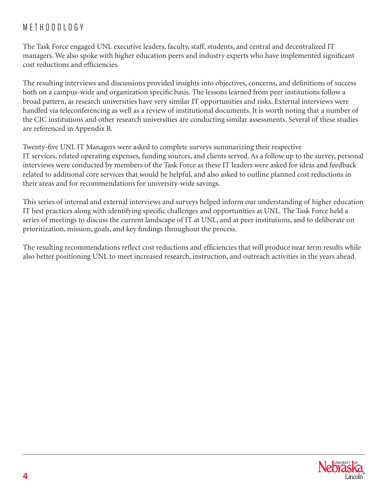# METHODOLOGY

The Task Force engaged UNL executive leaders, faculty, staff, students, and central and decentralized IT managers. We also spoke with higher education peers and industry experts who have implemented significant cost reductions and efficiencies.

The resulting interviews and discussions provided insights into objectives, concerns, and definitions of success both on a campus-wide and organization specific basis. The lessons learned from peer institutions follow a broad pattern, as research universities have very similar IT opportunities and risks. External interviews were handled via teleconferencing as well as a review of institutional documents. It is worth noting that a number of the CIC institutions and other research universities are conducting similar assessments. Several of these studies are referenced in Appendix B.

Twenty-five UNL IT Managers were asked to complete surveys summarizing their respective IT services, related operating expenses, funding sources, and clients served. As a follow up to the survey, personal interviews were conducted by members of the Task Force as these IT leaders were asked for ideas and feedback related to additional core services that would be helpful, and also asked to outline planned cost reductions in their areas and for recommendations for university-wide savings.

This series of internal and external interviews and surveys helped inform our understanding of higher education IT best practices along with identifying specific challenges and opportunities at UNL. The Task Force held a series of meetings to discuss the current landscape of IT at UNL, and at peer institutions, and to deliberate on prioritization, mission, goals, and key findings throughout the process.

The resulting recommendations reflect cost reductions and efficiencies that will produce near term results while also better positioning UNL to meet increased research, instruction, and outreach activities in the years ahead.

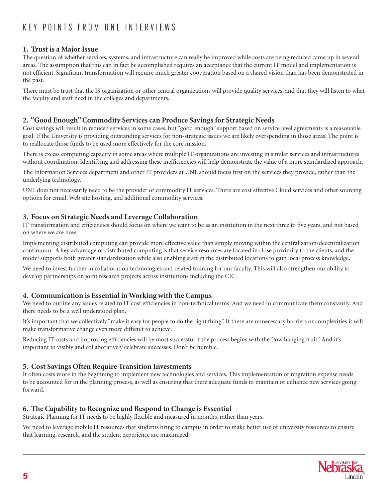# K EY POINTS FROM UNL INTERVIEWS

# **1. Trust is a Major Issue**

The question of whether services, systems, and infrastructure can really be improved while costs are being reduced came up in several areas. The assumption that this can in fact be accomplished requires an acceptance that the current IT model and implementation is not efficient. Significant transformation will require much greater cooperation based on a shared vision than has been demonstrated in the past.

There must be trust that the IS organization or other central organizations will provide quality services, and that they will listen to what the faculty and staff need in the colleges and departments.

# **2. "Good Enough" Commodity Services can Produce Savings for Strategic Needs**

Cost savings will result in reduced services in some cases, but "good enough" support based on service level agreements is a reasonable goal. If the University is providing outstanding services for non-strategic issues we are likely overspending in those areas. The point is to reallocate those funds to be used more effectively for the core mission.

There is excess computing capacity in some areas where multiple IT organizations are investing in similar services and infrastructures without coordination. Identifying and addressing these inefficiencies will help demonstrate the value of a more standardized approach.

The Information Services department and other IT providers at UNL should focus first on the services they provide, rather than the underlying technology.

UNL does not necessarily need to be the provider of commodity IT services. There are cost effective Cloud services and other sourcing options for email, Web site hosting, and additional commodity services.

# **3. Focus on Strategic Needs and Leverage Collaboration**

IT transformation and efficiencies should focus on where we want to be as an institution in the next three to five years, and not based on where we are now.

Implementing distributed computing can provide more effective value than simply moving within the centralization/decentralization continuum. A key advantage of distributed computing is that service resources are located in close proximity to the clients, and the model supports both greater standardization while also enabling staff in the distributed locations to gain local process knowledge.

We need to invest further in collaboration technologies and related training for our faculty. This will also strengthen our ability to develop partnerships on joint research projects across institutions including the CIC.

# **4. Communication is Essential in Working with the Campus**

We need to outline any issues related to IT cost efficiencies in non-technical terms. And we need to communicate them constantly. And there needs to be a well understood plan.

It's important that we collectively "make it easy for people to do the right thing". If there are unnecessary barriers or complexities it will make transformative change even more difficult to achieve.

Reducing IT costs and improving efficiencies will be most successful if the process begins with the "low hanging fruit". And it's important to visibly and collaboratively celebrate successes. Don't be humble.

# **5. Cost Savings Often Require Transition Investments**

It often costs more in the beginning to implement new technologies and services. This implementation or migration expense needs to be accounted for in the planning process, as well as ensuring that there adequate funds to maintain or enhance new services going forward.

# **6. The Capability to Recognize and Respond to Change is Essential**

Strategic Planning for IT needs to be highly flexible and measured in months, rather than years.

We need to leverage mobile IT resources that students bring to campus in order to make better use of university resources to ensure that learning, research, and the student experience are maximized.

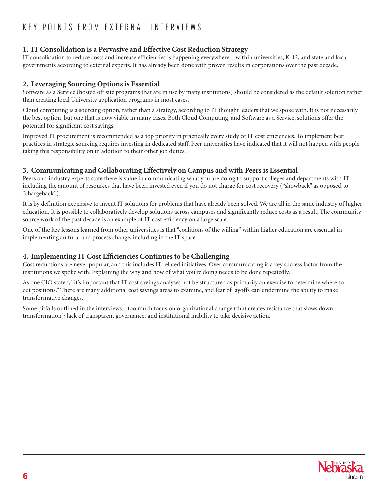# K EY POINTS FROM EXTERNAL INTERVIEWS

# **1. IT Consolidation is a Pervasive and Effective Cost Reduction Strategy**

IT consolidation to reduce costs and increase efficiencies is happening everywhere…within universities, K-12, and state and local governments according to external experts. It has already been done with proven results in corporations over the past decade.

# **2. Leveraging Sourcing Options is Essential**

Software as a Service (hosted off site programs that are in use by many institutions) should be considered as the default solution rather than creating local University application programs in most cases.

Cloud computing is a sourcing option, rather than a strategy, according to IT thought leaders that we spoke with. It is not necessarily the best option, but one that is now viable in many cases. Both Cloud Computing, and Software as a Service, solutions offer the potential for significant cost savings.

Improved IT procurement is recommended as a top priority in practically every study of IT cost efficiencies. To implement best practices in strategic sourcing requires investing in dedicated staff. Peer universities have indicated that it will not happen with people taking this responsibility on in addition to their other job duties.

# **3. Communicating and Collaborating Effectively on Campus and with Peers is Essential**

Peers and industry experts state there is value in communicating what you are doing to support colleges and departments with IT including the amount of resources that have been invested even if you do not charge for cost recovery ("showback" as opposed to "chargeback").

It is by definition expensive to invent IT solutions for problems that have already been solved. We are all in the same industry of higher education. It is possible to collaboratively develop solutions across campuses and significantly reduce costs as a result. The community source work of the past decade is an example of IT cost efficiency on a large scale.

One of the key lessons learned from other universities is that "coalitions of the willing" within higher education are essential in implementing cultural and process change, including in the IT space.

# **4. Implementing IT Cost Efficiencies Continues to be Challenging**

Cost reductions are never popular, and this includes IT related initiatives. Over communicating is a key success factor from the institutions we spoke with. Explaining the why and how of what you're doing needs to be done repeatedly.

As one CIO stated, "it's important that IT cost savings analyses not be structured as primarily an exercise to determine where to cut positions." There are many additional cost savings areas to examine, and fear of layoffs can undermine the ability to make transformative changes.

Some pitfalls outlined in the interviews: too much focus on organizational change (that creates resistance that slows down transformation); lack of transparent governance; and institutional inability to take decisive action.

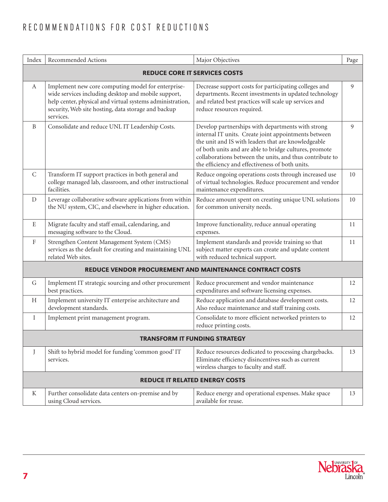# RECOMMENDATIONS FOR COST REDUCTIONS

| Index                                                           | Recommended Actions                                                                                                                                                                                                                        | Major Objectives<br>Page                                                                                                                                                                                                                                                                                                                  |    |  |  |  |  |  |
|-----------------------------------------------------------------|--------------------------------------------------------------------------------------------------------------------------------------------------------------------------------------------------------------------------------------------|-------------------------------------------------------------------------------------------------------------------------------------------------------------------------------------------------------------------------------------------------------------------------------------------------------------------------------------------|----|--|--|--|--|--|
|                                                                 | <b>REDUCE CORE IT SERVICES COSTS</b>                                                                                                                                                                                                       |                                                                                                                                                                                                                                                                                                                                           |    |  |  |  |  |  |
| A                                                               | Implement new core computing model for enterprise-<br>wide services including desktop and mobile support,<br>help center, physical and virtual systems administration,<br>security, Web site hosting, data storage and backup<br>services. | Decrease support costs for participating colleges and<br>departments. Recent investments in updated technology<br>and related best practices will scale up services and<br>reduce resources required.                                                                                                                                     |    |  |  |  |  |  |
| B                                                               | Consolidate and reduce UNL IT Leadership Costs.                                                                                                                                                                                            | Develop partnerships with departments with strong<br>internal IT units. Create joint appointments between<br>the unit and IS with leaders that are knowledgeable<br>of both units and are able to bridge cultures, promote<br>collaborations between the units, and thus contribute to<br>the efficiency and effectiveness of both units. | 9  |  |  |  |  |  |
| C                                                               | Transform IT support practices in both general and<br>college managed lab, classroom, and other instructional<br>facilities.                                                                                                               | Reduce ongoing operations costs through increased use<br>of virtual technologies. Reduce procurement and vendor<br>maintenance expenditures.                                                                                                                                                                                              | 10 |  |  |  |  |  |
| D                                                               | Leverage collaborative software applications from within<br>the NU system, CIC, and elsewhere in higher education.                                                                                                                         | Reduce amount spent on creating unique UNL solutions<br>for common university needs.                                                                                                                                                                                                                                                      | 10 |  |  |  |  |  |
| $\mathbf E$                                                     | Migrate faculty and staff email, calendaring, and<br>messaging software to the Cloud.                                                                                                                                                      | Improve functionality, reduce annual operating<br>expenses.                                                                                                                                                                                                                                                                               | 11 |  |  |  |  |  |
| $\boldsymbol{\mathrm{F}}$                                       | Strengthen Content Management System (CMS)<br>services as the default for creating and maintaining UNL<br>related Web sites.                                                                                                               | Implement standards and provide training so that<br>subject matter experts can create and update content<br>with reduced technical support.                                                                                                                                                                                               | 11 |  |  |  |  |  |
| <b>REDUCE VENDOR PROCUREMENT AND MAINTENANCE CONTRACT COSTS</b> |                                                                                                                                                                                                                                            |                                                                                                                                                                                                                                                                                                                                           |    |  |  |  |  |  |
| G                                                               | Implement IT strategic sourcing and other procurement<br>best practices.                                                                                                                                                                   | Reduce procurement and vendor maintenance<br>expenditures and software licensing expenses.                                                                                                                                                                                                                                                | 12 |  |  |  |  |  |
| H                                                               | Implement university IT enterprise architecture and<br>development standards.                                                                                                                                                              | Reduce application and database development costs.<br>Also reduce maintenance and staff training costs.                                                                                                                                                                                                                                   | 12 |  |  |  |  |  |
| $\bf{I}$                                                        | Implement print management program.                                                                                                                                                                                                        | Consolidate to more efficient networked printers to<br>reduce printing costs.                                                                                                                                                                                                                                                             | 12 |  |  |  |  |  |
| TRANSFORM IT FUNDING STRATEGY                                   |                                                                                                                                                                                                                                            |                                                                                                                                                                                                                                                                                                                                           |    |  |  |  |  |  |
| J                                                               | Shift to hybrid model for funding 'common good' IT<br>services.                                                                                                                                                                            | Reduce resources dedicated to processing chargebacks.<br>Eliminate efficiency disincentives such as current<br>wireless charges to faculty and staff.                                                                                                                                                                                     | 13 |  |  |  |  |  |
| <b>REDUCE IT RELATED ENERGY COSTS</b>                           |                                                                                                                                                                                                                                            |                                                                                                                                                                                                                                                                                                                                           |    |  |  |  |  |  |
| K                                                               | Further consolidate data centers on-premise and by<br>using Cloud services.                                                                                                                                                                | Reduce energy and operational expenses. Make space<br>available for reuse.                                                                                                                                                                                                                                                                | 13 |  |  |  |  |  |

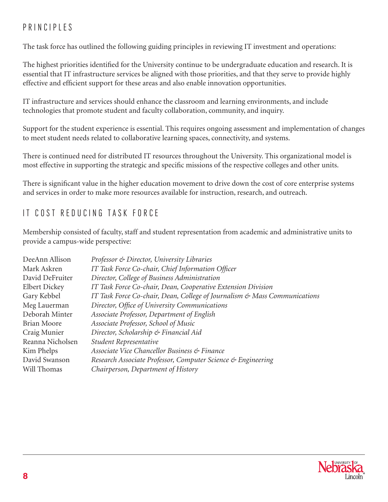# PRINCIPLES

The task force has outlined the following guiding principles in reviewing IT investment and operations:

The highest priorities identified for the University continue to be undergraduate education and research. It is essential that IT infrastructure services be aligned with those priorities, and that they serve to provide highly effective and efficient support for these areas and also enable innovation opportunities.

IT infrastructure and services should enhance the classroom and learning environments, and include technologies that promote student and faculty collaboration, community, and inquiry.

Support for the student experience is essential. This requires ongoing assessment and implementation of changes to meet student needs related to collaborative learning spaces, connectivity, and systems.

There is continued need for distributed IT resources throughout the University. This organizational model is most effective in supporting the strategic and specific missions of the respective colleges and other units.

There is significant value in the higher education movement to drive down the cost of core enterprise systems and services in order to make more resources available for instruction, research, and outreach.

# IT COST REDUCING TASK FORCE

Membership consisted of faculty, staff and student representation from academic and administrative units to provide a campus-wide perspective:

| Professor & Director, University Libraries                                |
|---------------------------------------------------------------------------|
| IT Task Force Co-chair, Chief Information Officer                         |
| Director, College of Business Administration                              |
| IT Task Force Co-chair, Dean, Cooperative Extension Division              |
| IT Task Force Co-chair, Dean, College of Journalism & Mass Communications |
| Director, Office of University Communications                             |
| Associate Professor, Department of English                                |
| Associate Professor, School of Music                                      |
| Director, Scholarship & Financial Aid                                     |
| Student Representative                                                    |
| Associate Vice Chancellor Business & Finance                              |
| Research Associate Professor, Computer Science & Engineering              |
| Chairperson, Department of History                                        |
|                                                                           |

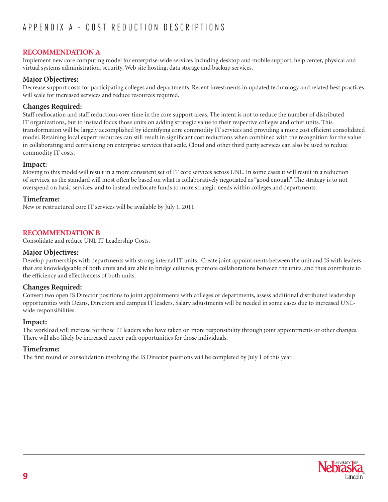# App endix A - C ost R e d u ction D escri p tions

# **Recommendation A**

Implement new core computing model for enterprise-wide services including desktop and mobile support, help center, physical and virtual systems administration, security, Web site hosting, data storage and backup services.

# **Major Objectives:**

Decrease support costs for participating colleges and departments. Recent investments in updated technology and related best practices will scale for increased services and reduce resources required.

# **Changes Required:**

Staff reallocation and staff reductions over time in the core support areas. The intent is not to reduce the number of distributed IT organizations, but to instead focus those units on adding strategic value to their respective colleges and other units. This transformation will be largely accomplished by identifying core commodity IT services and providing a more cost efficient consolidated model. Retaining local expert resources can still result in significant cost reductions when combined with the recognition for the value in collaborating and centralizing on enterprise services that scale. Cloud and other third party services can also be used to reduce commodity IT costs.

## **Impact:**

Moving to this model will result in a more consistent set of IT core services across UNL. In some cases it will result in a reduction of services, as the standard will most often be based on what is collaboratively negotiated as "good enough". The strategy is to not overspend on basic services, and to instead reallocate funds to more strategic needs within colleges and departments.

## **Timeframe:**

New or restructured core IT services will be available by July 1, 2011.

# **Recommendation B**

Consolidate and reduce UNL IT Leadership Costs.

## **Major Objectives:**

Develop partnerships with departments with strong internal IT units. Create joint appointments between the unit and IS with leaders that are knowledgeable of both units and are able to bridge cultures, promote collaborations between the units, and thus contribute to the efficiency and effectiveness of both units.

# **Changes Required:**

Convert two open IS Director positions to joint appointments with colleges or departments, assess additional distributed leadership opportunities with Deans, Directors and campus IT leaders. Salary adjustments will be needed in some cases due to increased UNLwide responsibilities.

#### **Impact:**

The workload will increase for those IT leaders who have taken on more responsibility through joint appointments or other changes. There will also likely be increased career path opportunities for those individuals.

# **Timeframe:**

The first round of consolidation involving the IS Director positions will be completed by July 1 of this year.

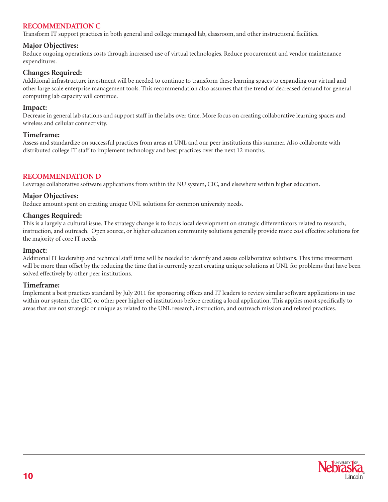# **Recommendation C**

Transform IT support practices in both general and college managed lab, classroom, and other instructional facilities.

# **Major Objectives:**

Reduce ongoing operations costs through increased use of virtual technologies. Reduce procurement and vendor maintenance expenditures.

## **Changes Required:**

Additional infrastructure investment will be needed to continue to transform these learning spaces to expanding our virtual and other large scale enterprise management tools. This recommendation also assumes that the trend of decreased demand for general computing lab capacity will continue.

#### **Impact:**

Decrease in general lab stations and support staff in the labs over time. More focus on creating collaborative learning spaces and wireless and cellular connectivity.

#### **Timeframe:**

Assess and standardize on successful practices from areas at UNL and our peer institutions this summer. Also collaborate with distributed college IT staff to implement technology and best practices over the next 12 months.

# **Recommendation D**

Leverage collaborative software applications from within the NU system, CIC, and elsewhere within higher education.

## **Major Objectives:**

Reduce amount spent on creating unique UNL solutions for common university needs.

## **Changes Required:**

This is a largely a cultural issue. The strategy change is to focus local development on strategic differentiators related to research, instruction, and outreach. Open source, or higher education community solutions generally provide more cost effective solutions for the majority of core IT needs.

#### **Impact:**

Additional IT leadership and technical staff time will be needed to identify and assess collaborative solutions. This time investment will be more than offset by the reducing the time that is currently spent creating unique solutions at UNL for problems that have been solved effectively by other peer institutions.

#### **Timeframe:**

Implement a best practices standard by July 2011 for sponsoring offices and IT leaders to review similar software applications in use within our system, the CIC, or other peer higher ed institutions before creating a local application. This applies most specifically to areas that are not strategic or unique as related to the UNL research, instruction, and outreach mission and related practices.

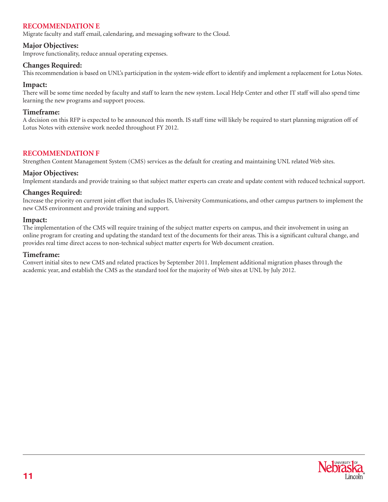# **Recommendation E**

Migrate faculty and staff email, calendaring, and messaging software to the Cloud.

## **Major Objectives:**

Improve functionality, reduce annual operating expenses.

## **Changes Required:**

This recommendation is based on UNL's participation in the system-wide effort to identify and implement a replacement for Lotus Notes.

#### **Impact:**

There will be some time needed by faculty and staff to learn the new system. Local Help Center and other IT staff will also spend time learning the new programs and support process.

#### **Timeframe:**

A decision on this RFP is expected to be announced this month. IS staff time will likely be required to start planning migration off of Lotus Notes with extensive work needed throughout FY 2012.

## **Recommendation F**

Strengthen Content Management System (CMS) services as the default for creating and maintaining UNL related Web sites.

#### **Major Objectives:**

Implement standards and provide training so that subject matter experts can create and update content with reduced technical support.

## **Changes Required:**

Increase the priority on current joint effort that includes IS, University Communications, and other campus partners to implement the new CMS environment and provide training and support.

#### **Impact:**

The implementation of the CMS will require training of the subject matter experts on campus, and their involvement in using an online program for creating and updating the standard text of the documents for their areas. This is a significant cultural change, and provides real time direct access to non-technical subject matter experts for Web document creation.

#### **Timeframe:**

Convert initial sites to new CMS and related practices by September 2011. Implement additional migration phases through the academic year, and establish the CMS as the standard tool for the majority of Web sites at UNL by July 2012.

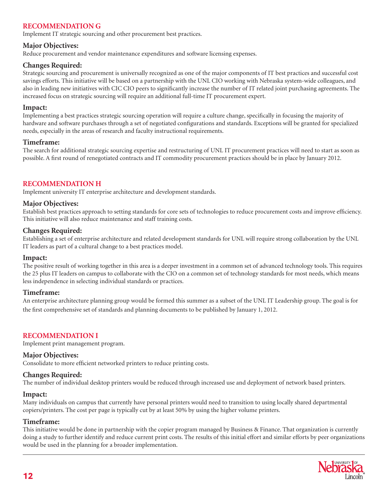# **Recommendation G**

Implement IT strategic sourcing and other procurement best practices.

## **Major Objectives:**

Reduce procurement and vendor maintenance expenditures and software licensing expenses.

## **Changes Required:**

Strategic sourcing and procurement is universally recognized as one of the major components of IT best practices and successful cost savings efforts. This initiative will be based on a partnership with the UNL CIO working with Nebraska system-wide colleagues, and also in leading new initiatives with CIC CIO peers to significantly increase the number of IT related joint purchasing agreements. The increased focus on strategic sourcing will require an additional full-time IT procurement expert.

#### **Impact:**

Implementing a best practices strategic sourcing operation will require a culture change, specifically in focusing the majority of hardware and software purchases through a set of negotiated configurations and standards. Exceptions will be granted for specialized needs, especially in the areas of research and faculty instructional requirements.

## **Timeframe:**

The search for additional strategic sourcing expertise and restructuring of UNL IT procurement practices will need to start as soon as possible. A first round of renegotiated contracts and IT commodity procurement practices should be in place by January 2012.

# **Recommendation H**

Implement university IT enterprise architecture and development standards.

## **Major Objectives:**

Establish best practices approach to setting standards for core sets of technologies to reduce procurement costs and improve efficiency. This initiative will also reduce maintenance and staff training costs.

## **Changes Required:**

Establishing a set of enterprise architecture and related development standards for UNL will require strong collaboration by the UNL IT leaders as part of a cultural change to a best practices model.

#### **Impact:**

The positive result of working together in this area is a deeper investment in a common set of advanced technology tools. This requires the 25 plus IT leaders on campus to collaborate with the CIO on a common set of technology standards for most needs, which means less independence in selecting individual standards or practices.

#### **Timeframe:**

An enterprise architecture planning group would be formed this summer as a subset of the UNL IT Leadership group. The goal is for the first comprehensive set of standards and planning documents to be published by January 1, 2012.

# **Recommendation I**

Implement print management program.

#### **Major Objectives:**

Consolidate to more efficient networked printers to reduce printing costs.

#### **Changes Required:**

The number of individual desktop printers would be reduced through increased use and deployment of network based printers.

#### **Impact:**

Many individuals on campus that currently have personal printers would need to transition to using locally shared departmental copiers/printers. The cost per page is typically cut by at least 50% by using the higher volume printers.

#### **Timeframe:**

This initiative would be done in partnership with the copier program managed by Business & Finance. That organization is currently doing a study to further identify and reduce current print costs. The results of this initial effort and similar efforts by peer organizations would be used in the planning for a broader implementation.

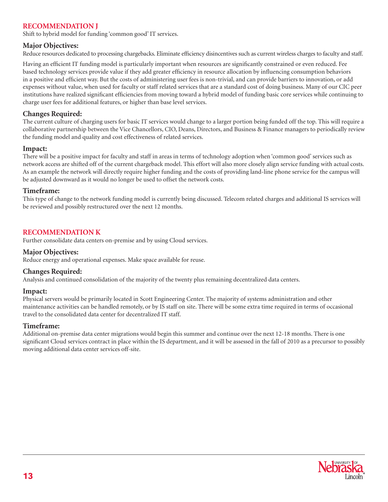# **Recommendation J**

Shift to hybrid model for funding 'common good' IT services.

## **Major Objectives:**

Reduce resources dedicated to processing chargebacks. Eliminate efficiency disincentives such as current wireless charges to faculty and staff.

Having an efficient IT funding model is particularly important when resources are significantly constrained or even reduced. Fee based technology services provide value if they add greater efficiency in resource allocation by influencing consumption behaviors in a positive and efficient way. But the costs of administering user fees is non-trivial, and can provide barriers to innovation, or add expenses without value, when used for faculty or staff related services that are a standard cost of doing business. Many of our CIC peer institutions have realized significant efficiencies from moving toward a hybrid model of funding basic core services while continuing to charge user fees for additional features, or higher than base level services.

## **Changes Required:**

The current culture of charging users for basic IT services would change to a larger portion being funded off the top. This will require a collaborative partnership between the Vice Chancellors, CIO, Deans, Directors, and Business & Finance managers to periodically review the funding model and quality and cost effectiveness of related services.

#### **Impact:**

There will be a positive impact for faculty and staff in areas in terms of technology adoption when 'common good' services such as network access are shifted off of the current chargeback model. This effort will also more closely align service funding with actual costs. As an example the network will directly require higher funding and the costs of providing land-line phone service for the campus will be adjusted downward as it would no longer be used to offset the network costs.

#### **Timeframe:**

This type of change to the network funding model is currently being discussed. Telecom related charges and additional IS services will be reviewed and possibly restructured over the next 12 months.

## **Recommendation K**

Further consolidate data centers on-premise and by using Cloud services.

#### **Major Objectives:**

Reduce energy and operational expenses. Make space available for reuse.

#### **Changes Required:**

Analysis and continued consolidation of the majority of the twenty plus remaining decentralized data centers.

#### **Impact:**

Physical servers would be primarily located in Scott Engineering Center. The majority of systems administration and other maintenance activities can be handled remotely, or by IS staff on site. There will be some extra time required in terms of occasional travel to the consolidated data center for decentralized IT staff.

#### **Timeframe:**

Additional on-premise data center migrations would begin this summer and continue over the next 12-18 months. There is one significant Cloud services contract in place within the IS department, and it will be assessed in the fall of 2010 as a precursor to possibly moving additional data center services off-site.

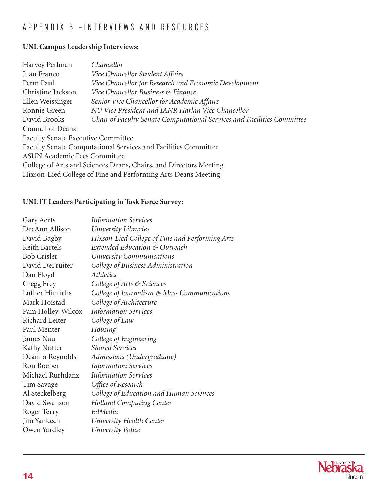# App endix B – I nterviews and R eso u rces

# **UNL Campus Leadership Interviews:**

| Harvey Perlman                                                    | Chancellor                                                              |  |  |  |
|-------------------------------------------------------------------|-------------------------------------------------------------------------|--|--|--|
| Juan Franco                                                       | Vice Chancellor Student Affairs                                         |  |  |  |
| Perm Paul                                                         | Vice Chancellor for Research and Economic Development                   |  |  |  |
| Christine Jackson                                                 | Vice Chancellor Business & Finance                                      |  |  |  |
| Ellen Weissinger                                                  | Senior Vice Chancellor for Academic Affairs                             |  |  |  |
| Ronnie Green                                                      | NU Vice President and IANR Harlan Vice Chancellor                       |  |  |  |
| David Brooks                                                      | Chair of Faculty Senate Computational Services and Facilities Committee |  |  |  |
| Council of Deans                                                  |                                                                         |  |  |  |
| <b>Faculty Senate Executive Committee</b>                         |                                                                         |  |  |  |
| Faculty Senate Computational Services and Facilities Committee    |                                                                         |  |  |  |
| <b>ASUN Academic Fees Committee</b>                               |                                                                         |  |  |  |
| College of Arts and Sciences Deans, Chairs, and Directors Meeting |                                                                         |  |  |  |
| Hixson-Lied College of Fine and Performing Arts Deans Meeting     |                                                                         |  |  |  |
|                                                                   |                                                                         |  |  |  |

# **UNL IT Leaders Participating in Task Force Survey:**

| Gary Aerts         | <b>Information Services</b>                     |
|--------------------|-------------------------------------------------|
| DeeAnn Allison     | University Libraries                            |
| David Bagby        | Hixson-Lied College of Fine and Performing Arts |
| Keith Bartels      | Extended Education & Outreach                   |
| <b>Bob Crisler</b> | University Communications                       |
| David DeFruiter    | College of Business Administration              |
| Dan Floyd          | Athletics                                       |
| Gregg Frey         | College of Arts & Sciences                      |
| Luther Hinrichs    | College of Journalism & Mass Communications     |
| Mark Hoistad       | College of Architecture                         |
| Pam Holley-Wilcox  | <b>Information Services</b>                     |
| Richard Leiter     | College of Law                                  |
| Paul Menter        | Housing                                         |
| James Nau          | College of Engineering                          |
| Kathy Notter       | <b>Shared Services</b>                          |
| Deanna Reynolds    | Admissions (Undergraduate)                      |
| Ron Roeber         | <b>Information Services</b>                     |
| Michael Rurhdanz   | <b>Information Services</b>                     |
| Tim Savage         | Office of Research                              |
| Al Steckelberg     | College of Education and Human Sciences         |
| David Swanson      | <b>Holland Computing Center</b>                 |
| Roger Terry        | EdMedia                                         |
| Jim Yankech        | University Health Center                        |
| Owen Yardley       | <b>University Police</b>                        |
|                    |                                                 |

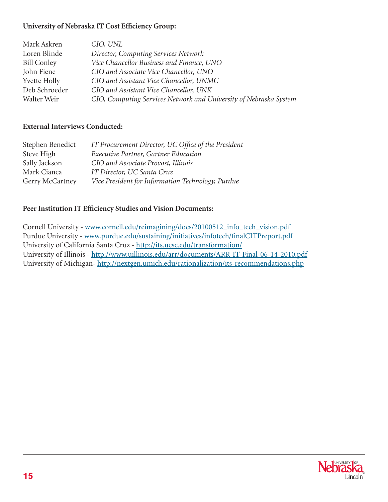# **University of Nebraska IT Cost Efficiency Group:**

| Mark Askren         | CIO, UNL                                                          |
|---------------------|-------------------------------------------------------------------|
| Loren Blinde        | Director, Computing Services Network                              |
| <b>Bill Conley</b>  | Vice Chancellor Business and Finance, UNO                         |
| John Fiene          | CIO and Associate Vice Chancellor, UNO                            |
| <b>Yvette Holly</b> | CIO and Assistant Vice Chancellor, UNMC                           |
| Deb Schroeder       | CIO and Assistant Vice Chancellor, UNK                            |
| Walter Weir         | CIO, Computing Services Network and University of Nebraska System |

# **External Interviews Conducted:**

| Stephen Benedict       | IT Procurement Director, UC Office of the President |
|------------------------|-----------------------------------------------------|
| Steve High             | Executive Partner, Gartner Education                |
| Sally Jackson          | CIO and Associate Provost, Illinois                 |
| Mark Cianca            | IT Director, UC Santa Cruz                          |
| <b>Gerry McCartney</b> | Vice President for Information Technology, Purdue   |

# **Peer Institution IT Efficiency Studies and Vision Documents:**

Cornell University - www.cornell.edu/reimagining/docs/20100512\_info\_tech\_vision.pdf Purdue University - www.purdue.edu/sustaining/initiatives/infotech/finalCITPreport.pdf University of California Santa Cruz - http://its.ucsc.edu/transformation/ University of Illinois - http://www.uillinois.edu/arr/documents/ARR-IT-Final-06-14-2010.pdf University of Michigan- http://nextgen.umich.edu/rationalization/its-recommendations.php